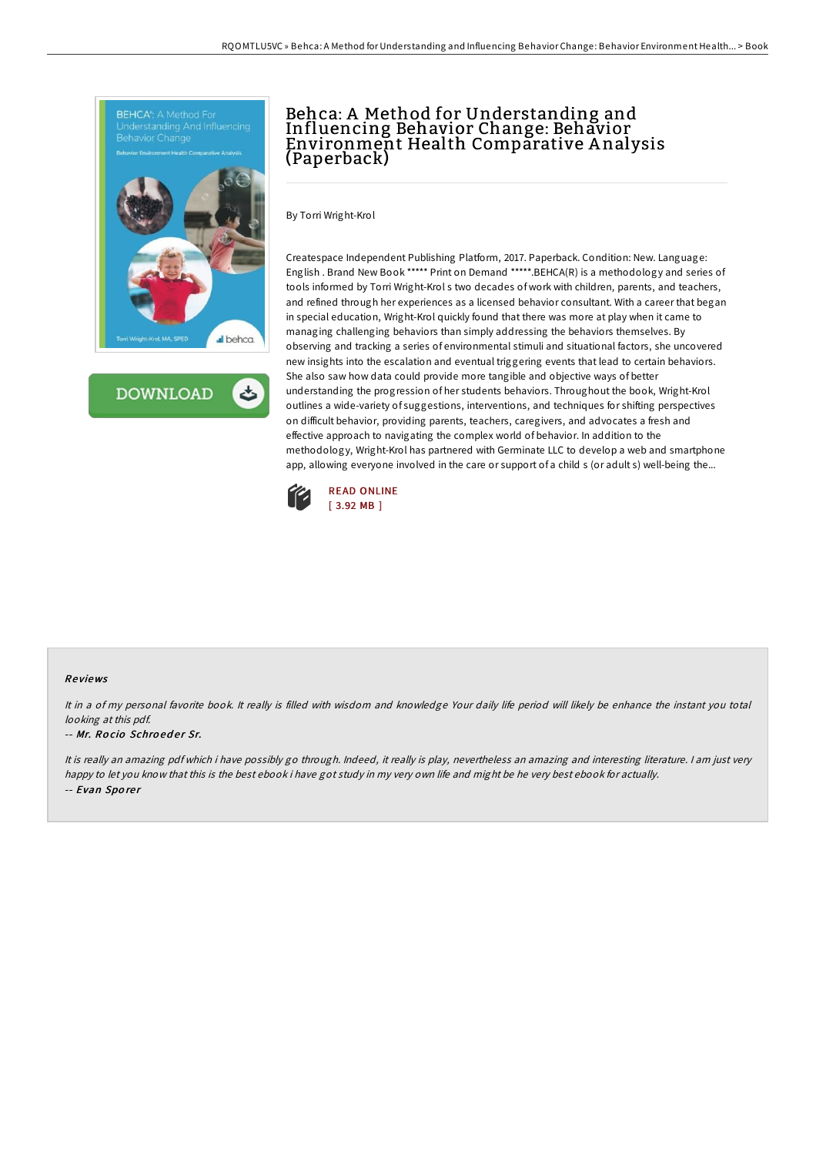



# Behca: A Method for Understanding and Influencing Behavior Change: Behavior Environment Health Comparative A nalysis (Paperback)

By Torri Wright-Krol

Createspace Independent Publishing Platform, 2017. Paperback. Condition: New. Language: English . Brand New Book \*\*\*\*\* Print on Demand \*\*\*\*\*.BEHCA(R) is a methodology and series of tools informed by Torri Wright-Krol s two decades of work with children, parents, and teachers, and refined through her experiences as a licensed behavior consultant. With a career that began in special education, Wright-Krol quickly found that there was more at play when it came to managing challenging behaviors than simply addressing the behaviors themselves. By observing and tracking a series of environmental stimuli and situational factors, she uncovered new insights into the escalation and eventual triggering events that lead to certain behaviors. She also saw how data could provide more tangible and objective ways of better understanding the progression of her students behaviors. Throughout the book, Wright-Krol outlines a wide-variety of suggestions, interventions, and techniques for shifting perspectives on difficult behavior, providing parents, teachers, caregivers, and advocates a fresh and effective approach to navigating the complex world of behavior. In addition to the methodology, Wright-Krol has partnered with Germinate LLC to develop a web and smartphone app, allowing everyone involved in the care or support of a child s (or adult s) well-being the...



#### Re views

It in <sup>a</sup> of my personal favorite book. It really is filled with wisdom and knowledge Your daily life period will likely be enhance the instant you total looking at this pdf.

#### -- Mr. Rocio Schroeder Sr.

It is really an amazing pdf which i have possibly go through. Indeed, it really is play, nevertheless an amazing and interesting literature. I am just very happy to let you know that this is the best ebook i have got study in my very own life and might be he very best ebook for actually. -- Evan Sporer